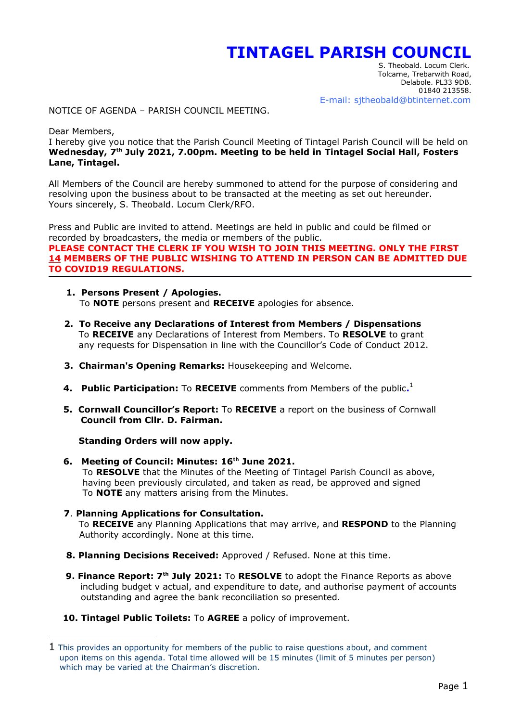## **TINTAGEL PARISH COUNCIL**

 S. Theobald. Locum Clerk. Tolcarne, Trebarwith Road, Delabole. PL33 9DB. 01840 213558. E-mail: sjtheobald@btinternet.com

NOTICE OF AGENDA – PARISH COUNCIL MEETING.

Dear Members,

I hereby give you notice that the Parish Council Meeting of Tintagel Parish Council will be held on **Wednesday, 7th July 2021, 7.00pm. Meeting to be held in Tintagel Social Hall, Fosters Lane, Tintagel.**

All Members of the Council are hereby summoned to attend for the purpose of considering and resolving upon the business about to be transacted at the meeting as set out hereunder. Yours sincerely, S. Theobald. Locum Clerk/RFO.

Press and Public are invited to attend. Meetings are held in public and could be filmed or recorded by broadcasters, the media or members of the public. **PLEASE CONTACT THE CLERK IF YOU WISH TO JOIN THIS MEETING. ONLY THE FIRST 14 MEMBERS OF THE PUBLIC WISHING TO ATTEND IN PERSON CAN BE ADMITTED DUE TO COVID19 REGULATIONS.** 

- **1. Persons Present / Apologies.** To **NOTE** persons present and **RECEIVE** apologies for absence.
- **2. To Receive any Declarations of Interest from Members / Dispensations** To **RECEIVE** any Declarations of Interest from Members. To **RESOLVE** to grant any requests for Dispensation in line with the Councillor's Code of Conduct 2012.
- **3. Chairman's Opening Remarks:** Housekeeping and Welcome.
- **4. Public Participation:** To **RECEIVE** comments from Members of the public.<sup>[1](#page-0-0)</sup>
	- **5. Cornwall Councillor's Report:** To **RECEIVE** a report on the business of Cornwall  **Council from Cllr. D. Fairman.**

**Standing Orders will now apply.**

- **6. Meeting of Council: Minutes: 16th June 2021.** To **RESOLVE** that the Minutes of the Meeting of Tintagel Parish Council as above, having been previously circulated, and taken as read, be approved and signed To **NOTE** any matters arising from the Minutes.
- **7**. **Planning Applications for Consultation.** To **RECEIVE** any Planning Applications that may arrive, and **RESPOND** to the Planning Authority accordingly. None at this time.
- **8. Planning Decisions Received:** Approved / Refused. None at this time.
- **9. Finance Report: 7th July 2021:** To **RESOLVE** to adopt the Finance Reports as above including budget v actual, and expenditure to date, and authorise payment of accounts outstanding and agree the bank reconciliation so presented.
- **10. Tintagel Public Toilets:** To **AGREE** a policy of improvement.

<span id="page-0-0"></span> $1$  This provides an opportunity for members of the public to raise questions about, and comment upon items on this agenda. Total time allowed will be 15 minutes (limit of 5 minutes per person) which may be varied at the Chairman's discretion.